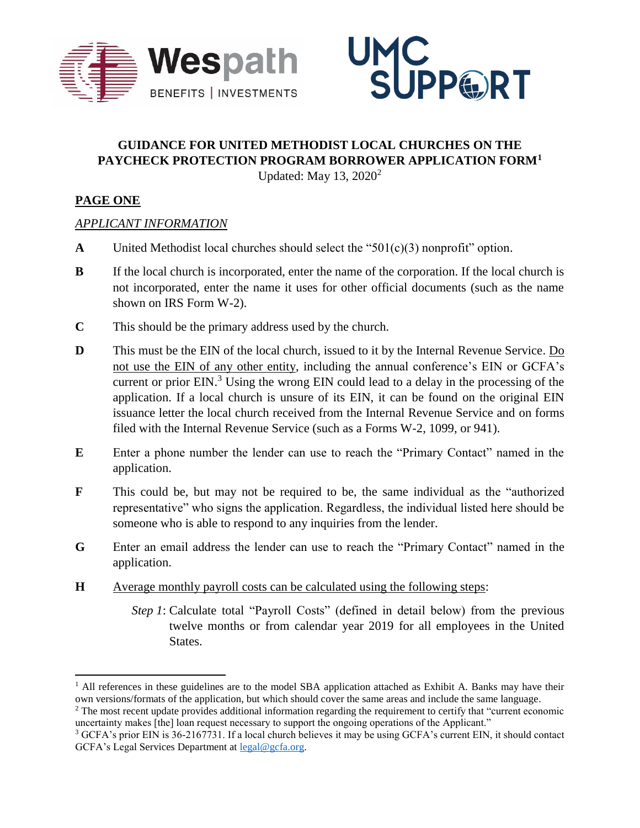



# **GUIDANCE FOR UNITED METHODIST LOCAL CHURCHES ON THE PAYCHECK PROTECTION PROGRAM BORROWER APPLICATION FORM<sup>1</sup>**

Updated: May 13,  $2020^2$ 

## **PAGE ONE**

 $\overline{\phantom{a}}$ 

#### *APPLICANT INFORMATION*

- **A** United Methodist local churches should select the "501(c)(3) nonprofit" option.
- **B** If the local church is incorporated, enter the name of the corporation. If the local church is not incorporated, enter the name it uses for other official documents (such as the name shown on IRS Form W-2).
- **C** This should be the primary address used by the church.
- **D** This must be the EIN of the local church, issued to it by the Internal Revenue Service. Do not use the EIN of any other entity, including the annual conference's EIN or GCFA's current or prior EIN. <sup>3</sup> Using the wrong EIN could lead to a delay in the processing of the application. If a local church is unsure of its EIN, it can be found on the original EIN issuance letter the local church received from the Internal Revenue Service and on forms filed with the Internal Revenue Service (such as a Forms W-2, 1099, or 941).
- **E** Enter a phone number the lender can use to reach the "Primary Contact" named in the application.
- **F** This could be, but may not be required to be, the same individual as the "authorized representative" who signs the application. Regardless, the individual listed here should be someone who is able to respond to any inquiries from the lender.
- **G** Enter an email address the lender can use to reach the "Primary Contact" named in the application.
- **H** Average monthly payroll costs can be calculated using the following steps:
	- *Step 1*: Calculate total "Payroll Costs" (defined in detail below) from the previous twelve months or from calendar year 2019 for all employees in the United States.

 $<sup>1</sup>$  All references in these guidelines are to the model SBA application attached as Exhibit A. Banks may have their</sup> own versions/formats of the application, but which should cover the same areas and include the same language.

<sup>&</sup>lt;sup>2</sup> The most recent update provides additional information regarding the requirement to certify that "current economic uncertainty makes [the] loan request necessary to support the ongoing operations of the Applicant."

<sup>3</sup> GCFA's prior EIN is 36-2167731. If a local church believes it may be using GCFA's current EIN, it should contact GCFA's Legal Services Department at [legal@gcfa.org.](mailto:legal@gcfa.org)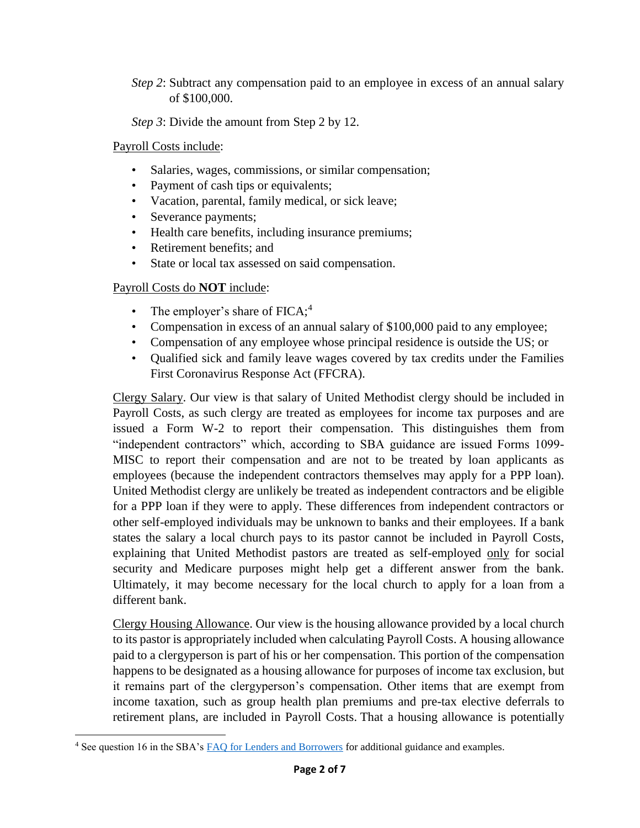*Step 2*: Subtract any compensation paid to an employee in excess of an annual salary of \$100,000.

*Step 3*: Divide the amount from Step 2 by 12.

Payroll Costs include:

- Salaries, wages, commissions, or similar compensation;
- Payment of cash tips or equivalents;
- Vacation, parental, family medical, or sick leave;
- Severance payments;
- Health care benefits, including insurance premiums;
- Retirement benefits; and
- State or local tax assessed on said compensation.

Payroll Costs do **NOT** include:

- The employer's share of  $FICA;^{4}$
- Compensation in excess of an annual salary of \$100,000 paid to any employee;
- Compensation of any employee whose principal residence is outside the US; or
- Qualified sick and family leave wages covered by tax credits under the Families First Coronavirus Response Act (FFCRA).

Clergy Salary. Our view is that salary of United Methodist clergy should be included in Payroll Costs, as such clergy are treated as employees for income tax purposes and are issued a Form W-2 to report their compensation. This distinguishes them from "independent contractors" which, according to SBA guidance are issued Forms 1099- MISC to report their compensation and are not to be treated by loan applicants as employees (because the independent contractors themselves may apply for a PPP loan). United Methodist clergy are unlikely be treated as independent contractors and be eligible for a PPP loan if they were to apply. These differences from independent contractors or other self-employed individuals may be unknown to banks and their employees. If a bank states the salary a local church pays to its pastor cannot be included in Payroll Costs, explaining that United Methodist pastors are treated as self-employed only for social security and Medicare purposes might help get a different answer from the bank. Ultimately, it may become necessary for the local church to apply for a loan from a different bank.

Clergy Housing Allowance. Our view is the housing allowance provided by a local church to its pastor is appropriately included when calculating Payroll Costs. A housing allowance paid to a clergyperson is part of his or her compensation. This portion of the compensation happens to be designated as a housing allowance for purposes of income tax exclusion, but it remains part of the clergyperson's compensation. Other items that are exempt from income taxation, such as group health plan premiums and pre-tax elective deferrals to retirement plans, are included in Payroll Costs. That a housing allowance is potentially

 $\overline{\phantom{a}}$ <sup>4</sup> See question 16 in the SBA's **FAQ** for Lenders and Borrowers for additional guidance and examples.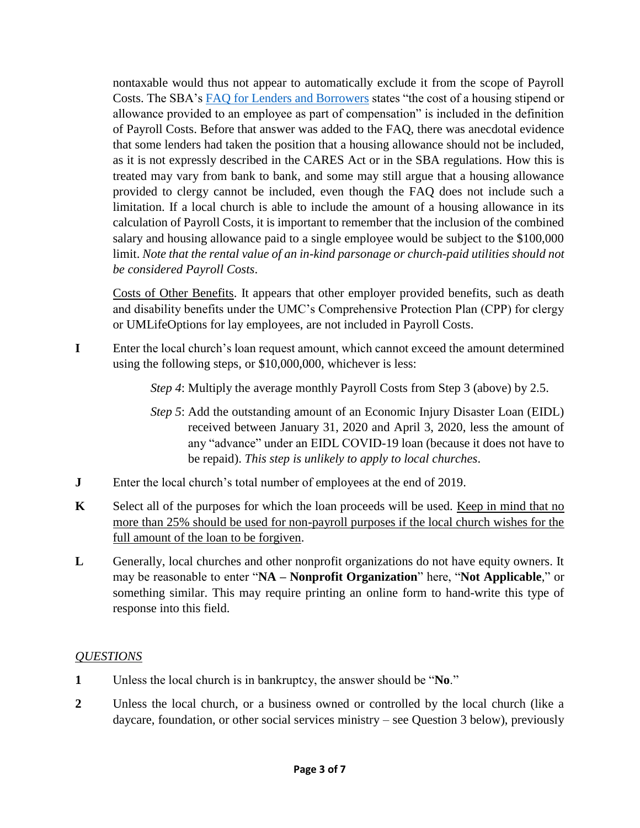nontaxable would thus not appear to automatically exclude it from the scope of Payroll Costs. The SBA's [FAQ for Lenders and Borrowers](https://www.sba.gov/document/support--faq-lenders-borrowers) states "the cost of a housing stipend or allowance provided to an employee as part of compensation" is included in the definition of Payroll Costs. Before that answer was added to the FAQ, there was anecdotal evidence that some lenders had taken the position that a housing allowance should not be included, as it is not expressly described in the CARES Act or in the SBA regulations. How this is treated may vary from bank to bank, and some may still argue that a housing allowance provided to clergy cannot be included, even though the FAQ does not include such a limitation. If a local church is able to include the amount of a housing allowance in its calculation of Payroll Costs, it is important to remember that the inclusion of the combined salary and housing allowance paid to a single employee would be subject to the \$100,000 limit. *Note that the rental value of an in-kind parsonage or church-paid utilities should not be considered Payroll Costs*.

Costs of Other Benefits. It appears that other employer provided benefits, such as death and disability benefits under the UMC's Comprehensive Protection Plan (CPP) for clergy or UMLifeOptions for lay employees, are not included in Payroll Costs.

**I** Enter the local church's loan request amount, which cannot exceed the amount determined using the following steps, or \$10,000,000, whichever is less:

*Step 4*: Multiply the average monthly Payroll Costs from Step 3 (above) by 2.5.

- *Step 5*: Add the outstanding amount of an Economic Injury Disaster Loan (EIDL) received between January 31, 2020 and April 3, 2020, less the amount of any "advance" under an EIDL COVID-19 loan (because it does not have to be repaid). *This step is unlikely to apply to local churches*.
- **J** Enter the local church's total number of employees at the end of 2019.
- **K** Select all of the purposes for which the loan proceeds will be used. Keep in mind that no more than 25% should be used for non-payroll purposes if the local church wishes for the full amount of the loan to be forgiven.
- **L** Generally, local churches and other nonprofit organizations do not have equity owners. It may be reasonable to enter "**NA – Nonprofit Organization**" here, "**Not Applicable**," or something similar. This may require printing an online form to hand-write this type of response into this field.

## *QUESTIONS*

- **1** Unless the local church is in bankruptcy, the answer should be "**No**."
- **2** Unless the local church, or a business owned or controlled by the local church (like a daycare, foundation, or other social services ministry – see Question 3 below), previously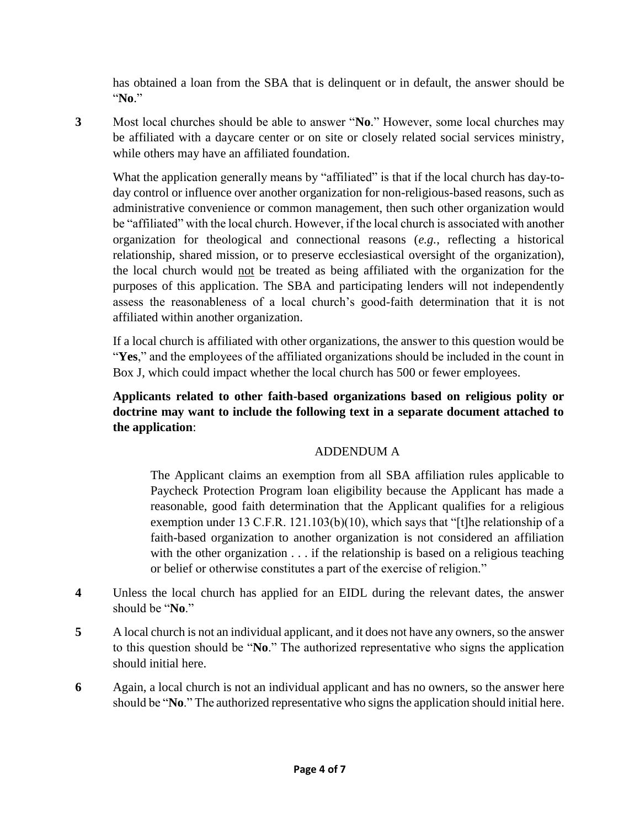has obtained a loan from the SBA that is delinquent or in default, the answer should be "**No**."

**3** Most local churches should be able to answer "**No**." However, some local churches may be affiliated with a daycare center or on site or closely related social services ministry, while others may have an affiliated foundation.

What the application generally means by "affiliated" is that if the local church has day-today control or influence over another organization for non-religious-based reasons, such as administrative convenience or common management, then such other organization would be "affiliated" with the local church. However, if the local church is associated with another organization for theological and connectional reasons (*e.g.*, reflecting a historical relationship, shared mission, or to preserve ecclesiastical oversight of the organization), the local church would not be treated as being affiliated with the organization for the purposes of this application. The SBA and participating lenders will not independently assess the reasonableness of a local church's good-faith determination that it is not affiliated within another organization.

If a local church is affiliated with other organizations, the answer to this question would be "**Yes**," and the employees of the affiliated organizations should be included in the count in Box J, which could impact whether the local church has 500 or fewer employees.

## **Applicants related to other faith-based organizations based on religious polity or doctrine may want to include the following text in a separate document attached to the application**:

## ADDENDUM A

The Applicant claims an exemption from all SBA affiliation rules applicable to Paycheck Protection Program loan eligibility because the Applicant has made a reasonable, good faith determination that the Applicant qualifies for a religious exemption under 13 C.F.R. 121.103(b)(10), which says that "[t]he relationship of a faith-based organization to another organization is not considered an affiliation with the other organization  $\dots$  if the relationship is based on a religious teaching or belief or otherwise constitutes a part of the exercise of religion."

- **4** Unless the local church has applied for an EIDL during the relevant dates, the answer should be "**No**."
- **5** A local church is not an individual applicant, and it does not have any owners, so the answer to this question should be "**No**." The authorized representative who signs the application should initial here.
- **6** Again, a local church is not an individual applicant and has no owners, so the answer here should be "**No**." The authorized representative who signs the application should initial here.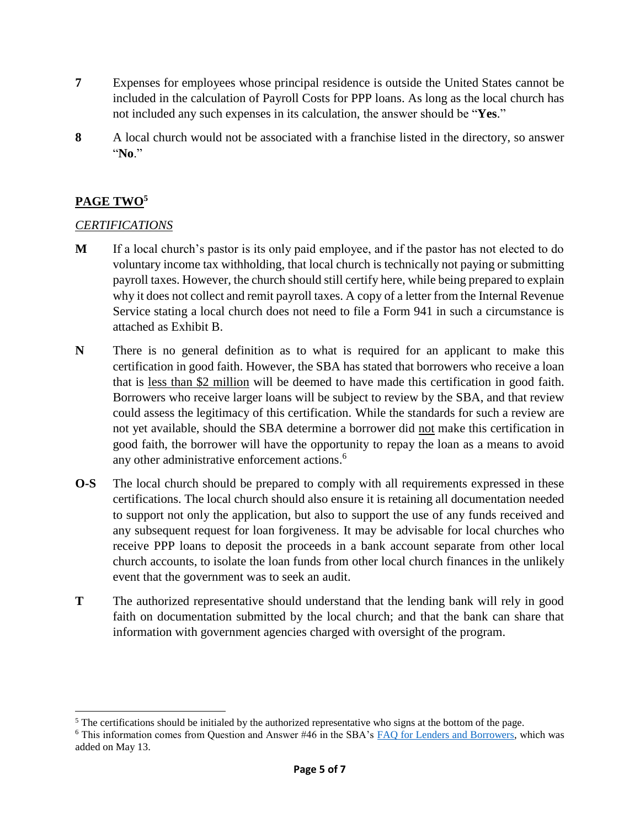- **7** Expenses for employees whose principal residence is outside the United States cannot be included in the calculation of Payroll Costs for PPP loans. As long as the local church has not included any such expenses in its calculation, the answer should be "**Yes**."
- **8** A local church would not be associated with a franchise listed in the directory, so answer "**No**."

## **PAGE TWO<sup>5</sup>**

## *CERTIFICATIONS*

- **M** If a local church's pastor is its only paid employee, and if the pastor has not elected to do voluntary income tax withholding, that local church is technically not paying or submitting payroll taxes. However, the church should still certify here, while being prepared to explain why it does not collect and remit payroll taxes. A copy of a letter from the Internal Revenue Service stating a local church does not need to file a Form 941 in such a circumstance is attached as Exhibit B.
- **N** There is no general definition as to what is required for an applicant to make this certification in good faith. However, the SBA has stated that borrowers who receive a loan that is less than \$2 million will be deemed to have made this certification in good faith. Borrowers who receive larger loans will be subject to review by the SBA, and that review could assess the legitimacy of this certification. While the standards for such a review are not yet available, should the SBA determine a borrower did not make this certification in good faith, the borrower will have the opportunity to repay the loan as a means to avoid any other administrative enforcement actions. 6
- **O-S** The local church should be prepared to comply with all requirements expressed in these certifications. The local church should also ensure it is retaining all documentation needed to support not only the application, but also to support the use of any funds received and any subsequent request for loan forgiveness. It may be advisable for local churches who receive PPP loans to deposit the proceeds in a bank account separate from other local church accounts, to isolate the loan funds from other local church finances in the unlikely event that the government was to seek an audit.
- **T** The authorized representative should understand that the lending bank will rely in good faith on documentation submitted by the local church; and that the bank can share that information with government agencies charged with oversight of the program.

 $\overline{\phantom{a}}$ <sup>5</sup> The certifications should be initialed by the authorized representative who signs at the bottom of the page.

<sup>6</sup> This information comes from Question and Answer #46 in the SBA's [FAQ for Lenders and Borrowers,](https://www.sba.gov/document/support--faq-lenders-borrowers) which was added on May 13.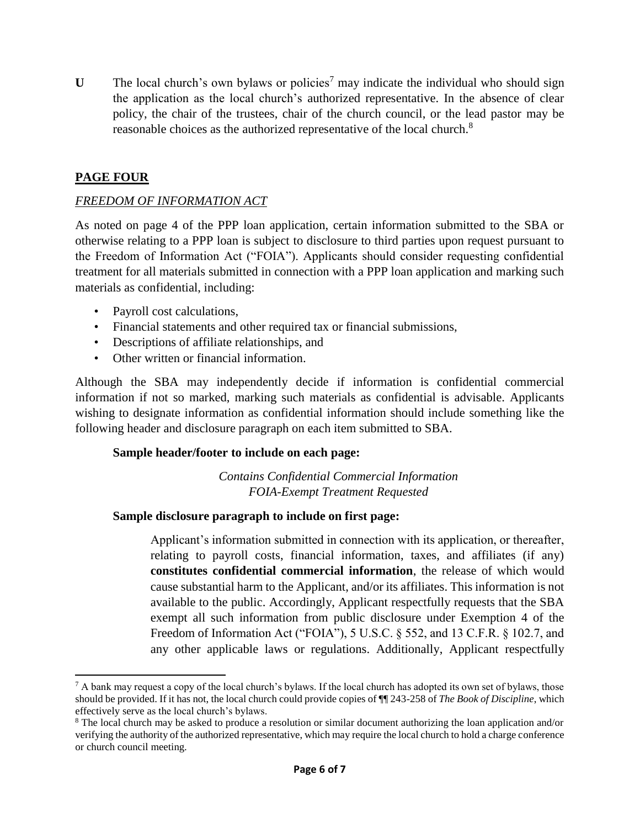**U** The local church's own bylaws or policies<sup>7</sup> may indicate the individual who should sign the application as the local church's authorized representative. In the absence of clear policy, the chair of the trustees, chair of the church council, or the lead pastor may be reasonable choices as the authorized representative of the local church.<sup>8</sup>

## **PAGE FOUR**

 $\overline{\phantom{a}}$ 

#### *FREEDOM OF INFORMATION ACT*

As noted on page 4 of the PPP loan application, certain information submitted to the SBA or otherwise relating to a PPP loan is subject to disclosure to third parties upon request pursuant to the Freedom of Information Act ("FOIA"). Applicants should consider requesting confidential treatment for all materials submitted in connection with a PPP loan application and marking such materials as confidential, including:

- Payroll cost calculations,
- Financial statements and other required tax or financial submissions,
- Descriptions of affiliate relationships, and
- Other written or financial information.

Although the SBA may independently decide if information is confidential commercial information if not so marked, marking such materials as confidential is advisable. Applicants wishing to designate information as confidential information should include something like the following header and disclosure paragraph on each item submitted to SBA.

#### **Sample header/footer to include on each page:**

*Contains Confidential Commercial Information FOIA-Exempt Treatment Requested*

#### **Sample disclosure paragraph to include on first page:**

Applicant's information submitted in connection with its application, or thereafter, relating to payroll costs, financial information, taxes, and affiliates (if any) **constitutes confidential commercial information**, the release of which would cause substantial harm to the Applicant, and/or its affiliates. This information is not available to the public. Accordingly, Applicant respectfully requests that the SBA exempt all such information from public disclosure under Exemption 4 of the Freedom of Information Act ("FOIA"), 5 U.S.C. § 552, and 13 C.F.R. § 102.7, and any other applicable laws or regulations. Additionally, Applicant respectfully

 $^7$  A bank may request a copy of the local church's bylaws. If the local church has adopted its own set of bylaws, those should be provided. If it has not, the local church could provide copies of ¶¶ 243-258 of *The Book of Discipline*, which effectively serve as the local church's bylaws.

<sup>8</sup> The local church may be asked to produce a resolution or similar document authorizing the loan application and/or verifying the authority of the authorized representative, which may require the local church to hold a charge conference or church council meeting.